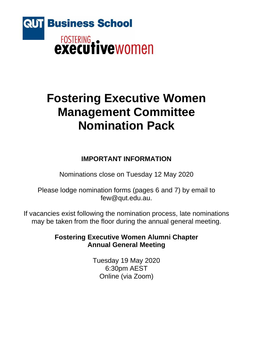

# **Fostering Executive Women Management Committee Nomination Pack**

## **IMPORTANT INFORMATION**

Nominations close on Tuesday 12 May 2020

Please lodge nomination forms (pages 6 and 7) by email to few@qut.edu.au.

If vacancies exist following the nomination process, late nominations may be taken from the floor during the annual general meeting.

### **Fostering Executive Women Alumni Chapter Annual General Meeting**

Tuesday 19 May 2020 6:30pm AEST Online (via Zoom)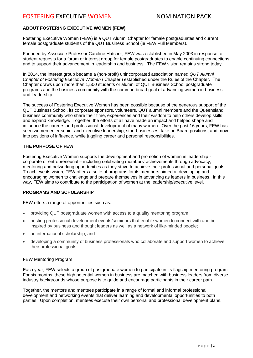#### **ABOUT FOSTERING EXECUTIVE WOMEN (FEW)**

Fostering Executive Women (FEW) is a QUT Alumni Chapter for female postgraduates and current female postgraduate students of the QUT Business School (ie FEW Full Members).

Founded by Associate Professor Caroline Hatcher, FEW was established in May 2003 in response to student requests for a forum or interest group for female postgraduates to enable continuing connections and to support their advancement in leadership and business. The FEW vision remains strong today.

In 2014, the interest group became a (non-profit) unincorporated association named *QUT Alumni Chapter of Fostering Executive Women* ('Chapter') established under the Rules of the Chapter. The Chapter draws upon more than 1,500 students or alumni of QUT Business School postgraduate programs and the business community with the common broad goal of advancing women in business and leadership.

The success of Fostering Executive Women has been possible because of the generous support of the QUT Business School, its corporate sponsors, volunteers, QUT alumni members and the Queensland business community who share their time, experiences and their wisdom to help others develop skills and expand knowledge. Together, the efforts of all have made an impact and helped shape and influence the careers and professional development of many women. Over the past 16 years, FEW has seen women enter senior and executive leadership, start businesses, take on Board positions, and move into positions of influence, while juggling career and personal responsibilities.

#### **THE PURPOSE OF FEW**

Fostering Executive Women supports the development and promotion of women in leadership corporate or entrepreneurial – including celebrating members' achievements through advocacy, mentoring and networking opportunities as they strive to achieve their professional and personal goals. To achieve its vision, FEW offers a suite of programs for its members aimed at developing and encouraging women to challenge and prepare themselves in advancing as leaders in business. In this way, FEW aims to contribute to the participation of women at the leadership/executive level.

#### **PROGRAMS AND SCHOLARSHIP**

FEW offers a range of opportunities such as:

- providing QUT postgraduate women with access to a quality mentoring program;
- hosting professional development events/seminars that enable women to connect with and be inspired by business and thought leaders as well as a network of like-minded people;
- an international scholarship; and
- developing a community of business professionals who collaborate and support women to achieve their professional goals.

#### FEW Mentoring Program

Each year, FEW selects a group of postgraduate women to participate in its flagship mentoring program. For six months, these high potential women in business are matched with business leaders from diverse industry backgrounds whose purpose is to guide and encourage participants in their career path.

Together, the mentors and mentees participate in a range of formal and informal professional development and networking events that deliver learning and developmental opportunities to both parties. Upon completion, mentees execute their own personal and professional development plans.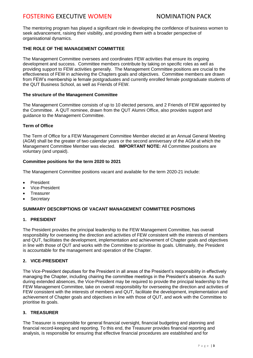### FOSTERING EXECUTIVE WOMEN NOMINATION PACK

The mentoring program has played a significant role in developing the confidence of business women to seek advancement, raising their visibility, and providing them with a broader perspective of organisational dynamics.

#### **THE ROLE OF THE MANAGEMENT COMMITTEE**

The Management Committee oversees and coordinates FEW activities that ensure its ongoing development and success. Committee members contribute by taking on specific roles as well as providing support to FEW activities generally. The Management Committee positions are crucial to the effectiveness of FEW in achieving the Chapters goals and objectives. Committee members are drawn from FEW's membership ie female postgraduates and currently enrolled female postgraduate students of the QUT Business School, as well as Friends of FEW.

#### **The structure of the Management Committee**

The Management Committee consists of up to 10 elected persons, and 2 Friends of FEW appointed by the Committee. A QUT nominee, drawn from the QUT Alumni Office, also provides support and guidance to the Management Committee.

#### **Term of Office**

The Term of Office for a FEW Management Committee Member elected at an Annual General Meeting (AGM) shall be the greater of two calendar years or the second anniversary of the AGM at which the Management Committee Member was elected. **IMPORTANT NOTE:** All Committee positions are voluntary (and unpaid).

#### **Committee positions for the term 2020 to 2021**

The Management Committee positions vacant and available for the term 2020-21 include:

- **President**
- Vice-President
- **Treasurer**
- **Secretary**

#### **SUMMARY DESCRIPTIONS OF VACANT MANAGEMENT COMMITTEE POSITIONS**

#### **1. PRESIDENT**

The President provides the principal leadership to the FEW Management Committee, has overall responsibility for overseeing the direction and activities of FEW consistent with the interests of members and QUT, facilitates the development, implementation and achievement of Chapter goals and objectives in line with those of QUT and works with the Committee to prioritise its goals. Ultimately, the President is accountable for the management and operation of the Chapter.

#### **2. VICE-PRESIDENT**

The Vice-President deputises for the President in all areas of the President's responsibility in effectively managing the Chapter, including chairing the committee meetings in the President's absence. As such during extended absences, the Vice-President may be required to provide the principal leadership to the FEW Management Committee, take on overall responsibility for overseeing the direction and activities of FEW consistent with the interests of members and QUT, facilitate the development, implementation and achievement of Chapter goals and objectives in line with those of QUT, and work with the Committee to prioritise its goals.

#### **3. TREASURER**

The Treasurer is responsible for general financial oversight, financial budgeting and planning and financial record-keeping and reporting. To this end, the Treasurer provides financial reporting and analysis, is responsible for ensuring that effective financial procedures are established and for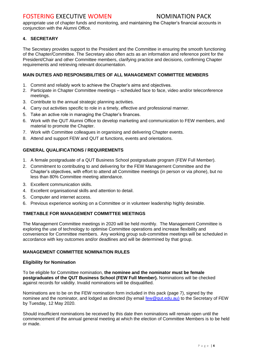### FOSTERING EXECUTIVE WOMEN NOMINATION PACK

appropriate use of chapter funds and monitoring, and maintaining the Chapter's financial accounts in conjunction with the Alumni Office.

#### **4. SECRETARY**

The Secretary provides support to the President and the Committee in ensuring the smooth functioning of the Chapter/Committee. The Secretary also often acts as an information and reference point for the President/Chair and other Committee members, clarifying practice and decisions, confirming Chapter requirements and retrieving relevant documentation.

#### **MAIN DUTIES AND RESPONSIBILITIES OF ALL MANAGEMENT COMMITTEE MEMBERS**

- 1. Commit and reliably work to achieve the Chapter's aims and objectives.
- 2. Participate in Chapter Committee meetings scheduled face to face, video and/or teleconference meetings.
- 3. Contribute to the annual strategic planning activities.
- 4. Carry out activities specific to role in a timely, effective and professional manner.
- 5. Take an active role in managing the Chapter's finances.
- 6. Work with the QUT Alumni Office to develop marketing and communication to FEW members, and material to promote the Chapter.
- 7. Work with Committee colleagues in organising and delivering Chapter events.
- 8. Attend and support FEW and QUT at functions, events and orientations.

#### **GENERAL QUALIFICATIONS / REQUIREMENTS**

- 1. A female postgraduate of a QUT Business School postgraduate program (FEW Full Member).
- 2. Commitment to contributing to and delivering for the FEW Management Committee and the Chapter's objectives, with effort to attend all Committee meetings (in person or via phone), but no less than 80% Committee meeting attendance.
- 3. Excellent communication skills.
- 4. Excellent organisational skills and attention to detail.
- 5. Computer and internet access.
- 6. Previous experience working on a Committee or in volunteer leadership highly desirable.

#### **TIMETABLE FOR MANAGEMENT COMMITTEE MEETINGS**

The Management Committee meetings in 2020 will be held monthly. The Management Committee is exploring the use of technology to optimise Committee operations and increase flexibility and convenience for Committee members. Any working group sub-committee meetings will be scheduled in accordance with key outcomes and/or deadlines and will be determined by that group.

#### **MANAGEMENT COMMITTEE NOMINATION RULES**

#### **Eligibility for Nomination**

To be eligible for Committee nomination, **the nominee and the nominator must be female postgraduates of the QUT Business School (FEW Full Member).** Nominations will be checked against records for validity. Invalid nominations will be disqualified.

Nominations are to be on the FEW nomination form included in this pack (page 7), signed by the nominee and the nominator, and lodged as directed (by email [few@qut.edu.au\)](mailto:few@qut.edu.au)) to the Secretary of FEW by Tuesday, 12 May 2020.

Should insufficient nominations be received by this date then nominations will remain open until the commencement of the annual general meeting at which the election of Committee Members is to be held or made.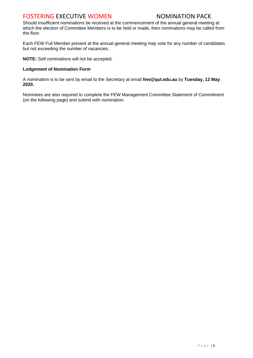### FOSTERING EXECUTIVE WOMEN NOMINATION PACK

Should insufficient nominations be received at the commencement of the annual general meeting at which the election of Committee Members is to be held or made, then nominations may be called from the floor.

Each FEW Full Member present at the annual general meeting may vote for any number of candidates but not exceeding the number of vacancies.

**NOTE:** Self nominations will not be accepted.

#### **Lodgement of Nomination Form**

A nomination is to be sent by email to the Secretary at email **few@qut.edu.au** by **Tuesday, 12 May 2020.**

Nominees are also required to complete the FEW Management Committee Statement of Commitment (on the following page) and submit with nomination.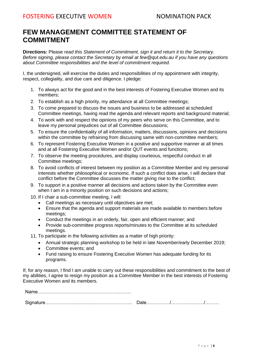### **FEW MANAGEMENT COMMITTEE STATEMENT OF COMMITMENT**

**Directions:** Please r*ead this Statement of Commitment, sign it and return it to the Secretary. Before signing, please contact the Secretary by email at few@qut.edu.au if you have any questions about Committee responsibilities and the level of commitment required.* 

I, the undersigned, will exercise the duties and responsibilities of my appointment with integrity, respect, collegiality, and due care and diligence. I pledge:

- 1. To always act for the good and in the best interests of Fostering Executive Women and its members;
- 2. To establish as a high priority, my attendance at all Committee meetings;
- 3. To come prepared to discuss the issues and business to be addressed at scheduled Committee meetings, having read the agenda and relevant reports and background material;
- 4. To work with and respect the opinions of my peers who serve on this Committee, and to leave my personal prejudices out of all Committee discussions;
- 5. To ensure the confidentiality of all information, matters, discussions, opinions and decisions within the committee by refraining from discussing same with non-committee members;
- 6. To represent Fostering Executive Women in a positive and supportive manner at all times and at all Fostering Executive Women and/or QUT events and functions;
- 7. To observe the meeting procedures, and display courteous, respectful conduct in all Committee meetings;
- 8. To avoid conflicts of interest between my position as a Committee Member and my personal interests whether philosophical or economic. If such a conflict does arise, I will declare that conflict before the Committee discusses the matter giving rise to the conflict;
- 9. To support in a positive manner all decisions and actions taken by the Committee even when I am in a minority position on such decisions and actions;
- 10. If I chair a sub-committee meeting, I will:
	- Call meetings as necessary until objectives are met;
	- Ensure that the agenda and support materials are made available to members before meetings;
	- Conduct the meetings in an orderly, fair, open and efficient manner; and
	- Provide sub-committee progress reports/minutes to the Committee at its scheduled meetings.
- 11. To participate in the following activities as a matter of high priority:
	- Annual strategic planning workshop to be held in late November/early December 2019;
	- Committee events; and
	- Fund raising to ensure Fostering Executive Women has adequate funding for its programs.

If, for any reason, I find I am unable to carry out these responsibilities and commitment to the best of my abilities, I agree to resign my position as a Committee Member in the best interests of Fostering Executive Women and its members.

Name……………………………………………………

Signature……………………………………………….. Date……………/…………………/………